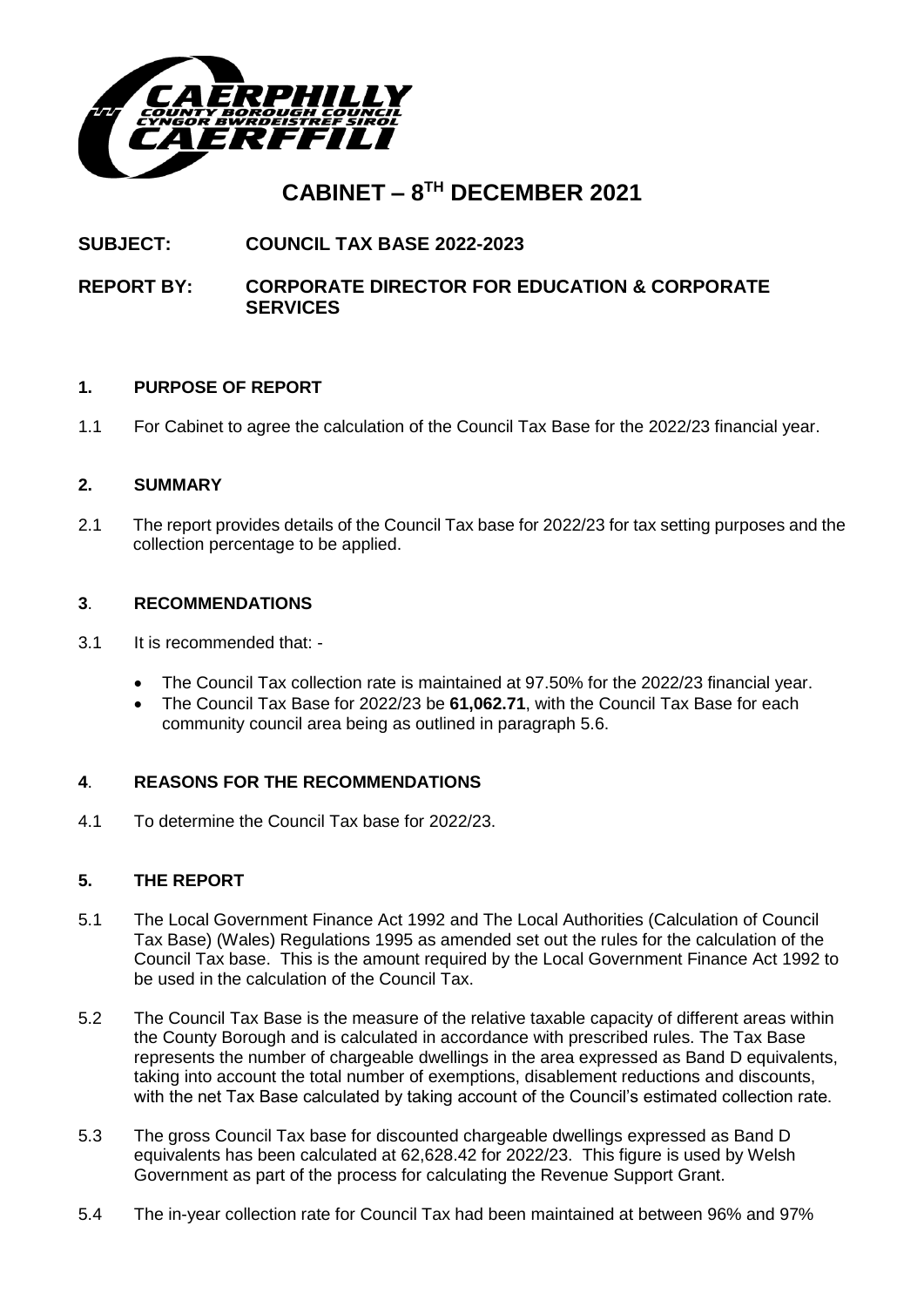

# **CABINET – 8 TH DECEMBER 2021**

# **SUBJECT: COUNCIL TAX BASE 2022-2023**

## **REPORT BY: CORPORATE DIRECTOR FOR EDUCATION & CORPORATE SERVICES**

## **1. PURPOSE OF REPORT**

1.1 For Cabinet to agree the calculation of the Council Tax Base for the 2022/23 financial year.

## **2. SUMMARY**

2.1 The report provides details of the Council Tax base for 2022/23 for tax setting purposes and the collection percentage to be applied.

## **3**. **RECOMMENDATIONS**

- 3.1 It is recommended that:
	- The Council Tax collection rate is maintained at 97.50% for the 2022/23 financial year.
	- The Council Tax Base for 2022/23 be **61,062.71**, with the Council Tax Base for each community council area being as outlined in paragraph 5.6.

## **4**. **REASONS FOR THE RECOMMENDATIONS**

4.1 To determine the Council Tax base for 2022/23.

## **5. THE REPORT**

- 5.1 The Local Government Finance Act 1992 and The Local Authorities (Calculation of Council Tax Base) (Wales) Regulations 1995 as amended set out the rules for the calculation of the Council Tax base. This is the amount required by the Local Government Finance Act 1992 to be used in the calculation of the Council Tax.
- 5.2 The Council Tax Base is the measure of the relative taxable capacity of different areas within the County Borough and is calculated in accordance with prescribed rules. The Tax Base represents the number of chargeable dwellings in the area expressed as Band D equivalents, taking into account the total number of exemptions, disablement reductions and discounts, with the net Tax Base calculated by taking account of the Council's estimated collection rate.
- 5.3 The gross Council Tax base for discounted chargeable dwellings expressed as Band D equivalents has been calculated at 62,628.42 for 2022/23. This figure is used by Welsh Government as part of the process for calculating the Revenue Support Grant.
- 5.4 The in-year collection rate for Council Tax had been maintained at between 96% and 97%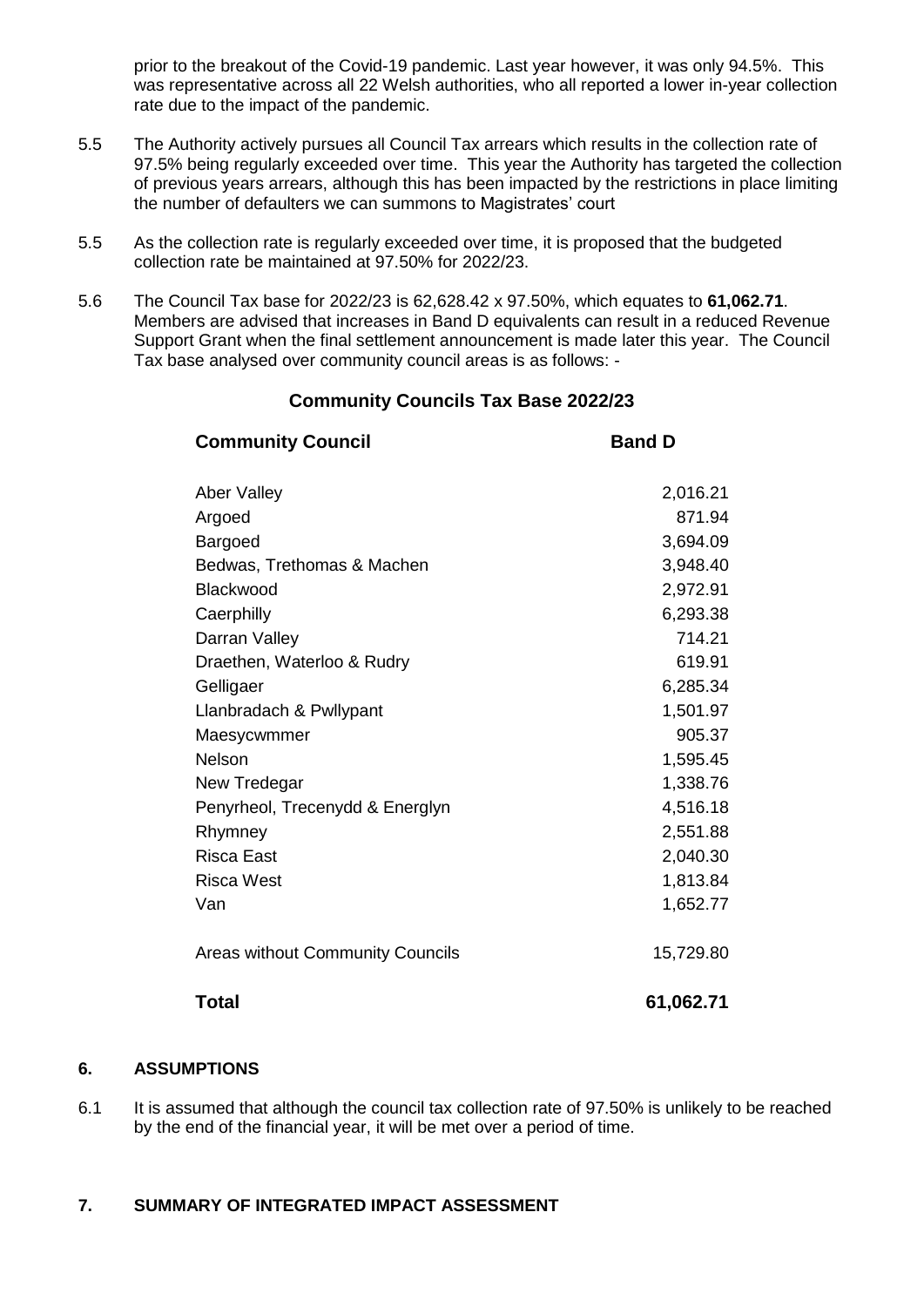prior to the breakout of the Covid-19 pandemic. Last year however, it was only 94.5%. This was representative across all 22 Welsh authorities, who all reported a lower in-year collection rate due to the impact of the pandemic.

- 5.5 The Authority actively pursues all Council Tax arrears which results in the collection rate of 97.5% being regularly exceeded over time. This year the Authority has targeted the collection of previous years arrears, although this has been impacted by the restrictions in place limiting the number of defaulters we can summons to Magistrates' court
- 5.5 As the collection rate is regularly exceeded over time, it is proposed that the budgeted collection rate be maintained at 97.50% for 2022/23.
- 5.6 The Council Tax base for 2022/23 is 62,628.42 x 97.50%, which equates to **61,062.71**. Members are advised that increases in Band D equivalents can result in a reduced Revenue Support Grant when the final settlement announcement is made later this year. The Council Tax base analysed over community council areas is as follows: -

## **Community Councils Tax Base 2022/23**

| <b>Community Council</b>                | <b>Band D</b> |
|-----------------------------------------|---------------|
| Aber Valley                             | 2,016.21      |
| Argoed                                  | 871.94        |
| <b>Bargoed</b>                          | 3,694.09      |
| Bedwas, Trethomas & Machen              | 3,948.40      |
| Blackwood                               | 2,972.91      |
| Caerphilly                              | 6,293.38      |
| Darran Valley                           | 714.21        |
| Draethen, Waterloo & Rudry              | 619.91        |
| Gelligaer                               | 6,285.34      |
| Llanbradach & Pwllypant                 | 1,501.97      |
| Maesycwmmer                             | 905.37        |
| Nelson                                  | 1,595.45      |
| New Tredegar                            | 1,338.76      |
| Penyrheol, Trecenydd & Energlyn         | 4,516.18      |
| Rhymney                                 | 2,551.88      |
| <b>Risca East</b>                       | 2,040.30      |
| <b>Risca West</b>                       | 1,813.84      |
| Van                                     | 1,652.77      |
| <b>Areas without Community Councils</b> | 15,729.80     |
| <b>Total</b>                            | 61,062.71     |

## **6. ASSUMPTIONS**

6.1 It is assumed that although the council tax collection rate of 97.50% is unlikely to be reached by the end of the financial year, it will be met over a period of time.

#### **7. SUMMARY OF INTEGRATED IMPACT ASSESSMENT**